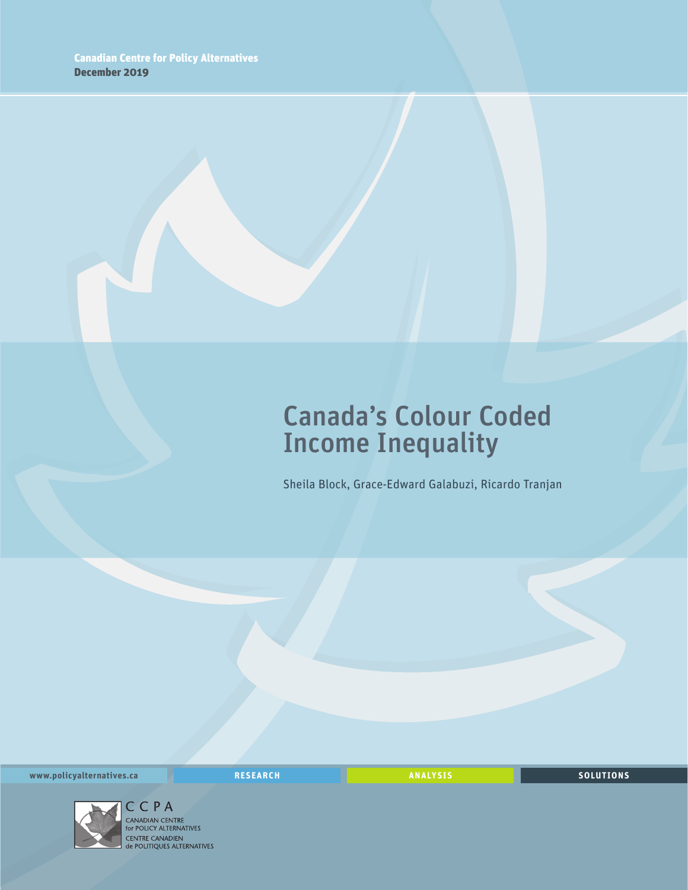## Canada's Colour Coded Income Inequality

Sheila Block, Grace-Edward Galabuzi, Ricardo Tranjan

**www.policyalternatives.ca** <mark>RESEARCH</mark> ANALYSIS SOLUTIONS



C C P A<br>CANADIAN CENTRE<br>for POLICY ALTERNATIVES CENTRE CANADIEN<br> **CENTRE CANADIEN<br>
de POLITIQUES ALTERNATIVES**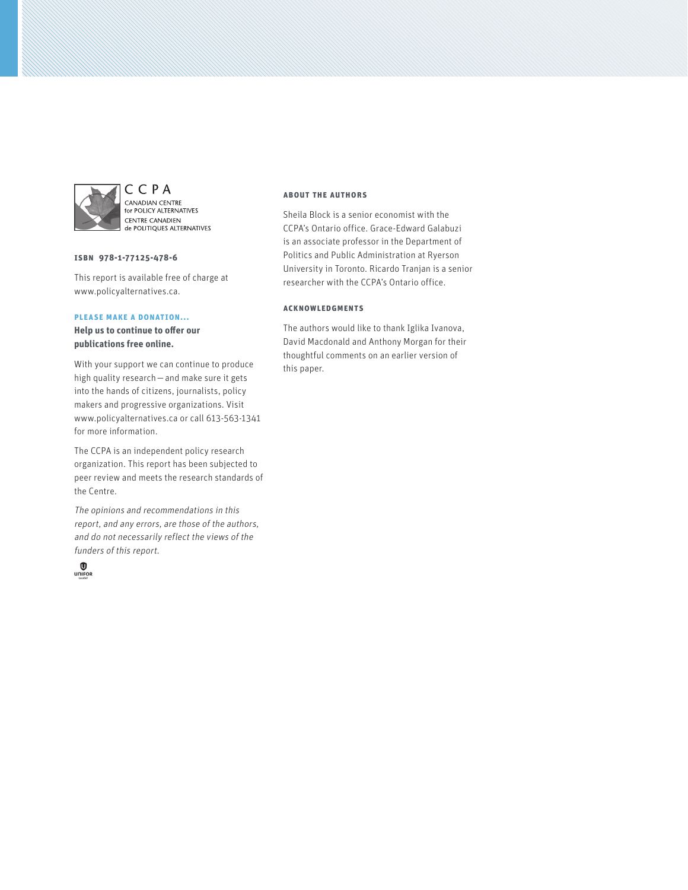

CCPA CANADIAN CENTRE<br>for POLICY ALTERNATIVES **CENTRE CANADIEN CENTRE CANADIEN** 

#### **ISBN 978-1-77125-478-6**

This report is available free of charge at www.policyalternatives.ca.

#### **Please make a donation...**

**Help us to continue to offer our publications free online.**

With your support we can continue to produce high quality research—and make sure it gets into the hands of citizens, journalists, policy makers and progressive organizations. Visit www.policyalternatives.ca or call 613-563-1341 for more information.

The CCPA is an independent policy research organization. This report has been subjected to peer review and meets the research standards of the Centre.

The opinions and recommendations in this report, and any errors, are those of the authors, and do not necessarily reflect the views of the funders of this report.



#### **About the authors**

Sheila Block is a senior economist with the CCPA's Ontario office. Grace-Edward Galabuzi is an associate professor in the Department of Politics and Public Administration at Ryerson University in Toronto. Ricardo Tranjan is a senior researcher with the CCPA's Ontario office.

#### **Acknowledgments**

The authors would like to thank Iglika Ivanova, David Macdonald and Anthony Morgan for their thoughtful comments on an earlier version of this paper.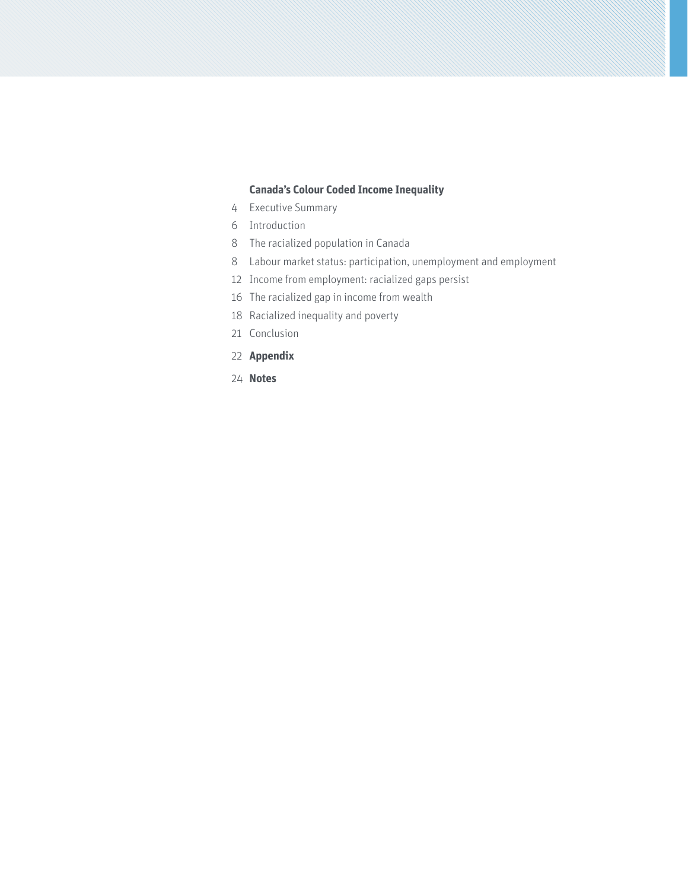#### **[Canada's Colour Coded Income Inequality](#page-3-0)**

- [Executive Summary](#page-3-0)
- [Introduction](#page-5-0)
- [The racialized population in Canada](#page-7-0)
- [Labour market status: participation, unemployment and employment](#page-7-0)
- [Income from employment: racialized gaps persist](#page-11-0)
- [The racialized gap in income from wealth](#page-15-0)
- [Racialized inequality and poverty](#page-17-0)
- [Conclusion](#page-20-0)
- **[Appendix](#page-21-0)**
- **[Notes](#page-23-0)**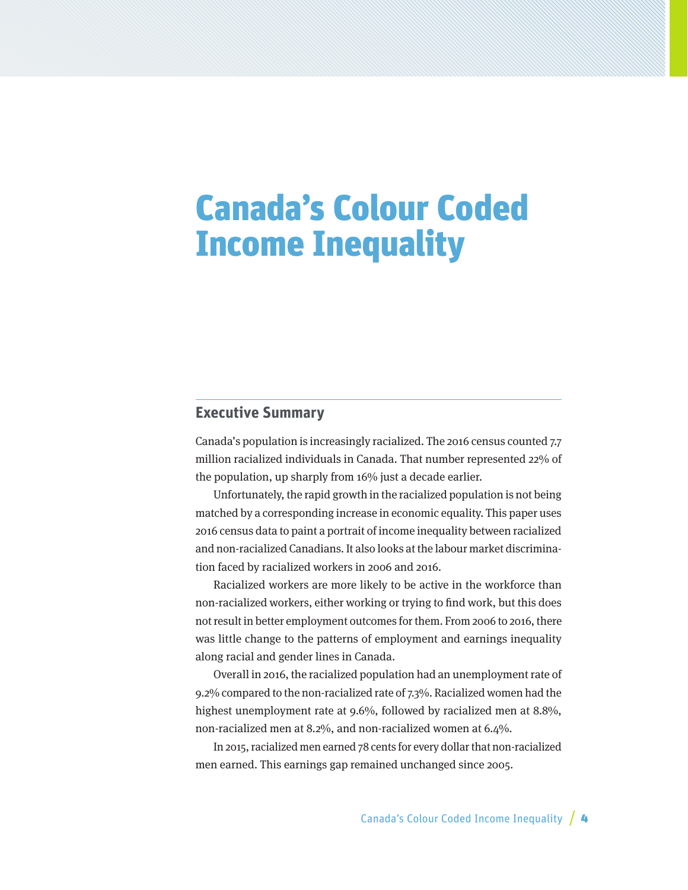# <span id="page-3-0"></span>Canada's Colour Coded Income Inequality

## **Executive Summary**

Canada's population is increasingly racialized. The 2016 census counted 7.7 million racialized individuals in Canada. That number represented 22% of the population, up sharply from 16% just a decade earlier.

Unfortunately, the rapid growth in the racialized population is not being matched by a corresponding increase in economic equality. This paper uses 2016 census data to paint a portrait of income inequality between racialized and non-racialized Canadians. It also looks at the labour market discrimination faced by racialized workers in 2006 and 2016.

Racialized workers are more likely to be active in the workforce than non-racialized workers, either working or trying to find work, but this does not result in better employment outcomes for them. From 2006 to 2016, there was little change to the patterns of employment and earnings inequality along racial and gender lines in Canada.

Overall in 2016, the racialized population had an unemployment rate of 9.2% compared to the non-racialized rate of 7.3%. Racialized women had the highest unemployment rate at 9.6%, followed by racialized men at 8.8%, non-racialized men at 8.2%, and non-racialized women at 6.4%.

In 2015, racialized men earned 78 cents for every dollar that non-racialized men earned. This earnings gap remained unchanged since 2005.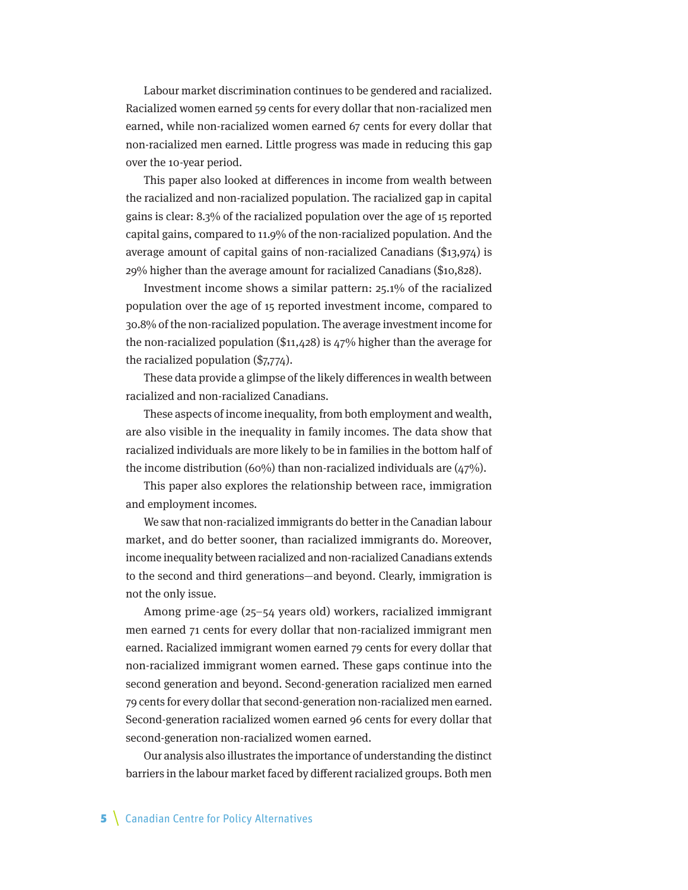Labour market discrimination continues to be gendered and racialized. Racialized women earned 59 cents for every dollar that non-racialized men earned, while non-racialized women earned 67 cents for every dollar that non-racialized men earned. Little progress was made in reducing this gap over the 10-year period.

This paper also looked at differences in income from wealth between the racialized and non-racialized population. The racialized gap in capital gains is clear: 8.3% of the racialized population over the age of 15 reported capital gains, compared to 11.9% of the non-racialized population. And the average amount of capital gains of non-racialized Canadians (\$13,974) is 29% higher than the average amount for racialized Canadians (\$10,828).

Investment income shows a similar pattern: 25.1% of the racialized population over the age of 15 reported investment income, compared to 30.8% of the non-racialized population. The average investment income for the non-racialized population (\$11,428) is 47% higher than the average for the racialized population (\$7,774).

These data provide a glimpse of the likely differences in wealth between racialized and non-racialized Canadians.

These aspects of income inequality, from both employment and wealth, are also visible in the inequality in family incomes. The data show that racialized individuals are more likely to be in families in the bottom half of the income distribution (60%) than non-racialized individuals are  $(47%)$ .

This paper also explores the relationship between race, immigration and employment incomes.

We saw that non-racialized immigrants do better in the Canadian labour market, and do better sooner, than racialized immigrants do. Moreover, income inequality between racialized and non-racialized Canadians extends to the second and third generations—and beyond. Clearly, immigration is not the only issue.

Among prime-age (25–54 years old) workers, racialized immigrant men earned 71 cents for every dollar that non-racialized immigrant men earned. Racialized immigrant women earned 79 cents for every dollar that non-racialized immigrant women earned. These gaps continue into the second generation and beyond. Second-generation racialized men earned 79 cents for every dollar that second-generation non-racialized men earned. Second-generation racialized women earned 96 cents for every dollar that second-generation non-racialized women earned.

Our analysis also illustrates the importance of understanding the distinct barriers in the labour market faced by different racialized groups. Both men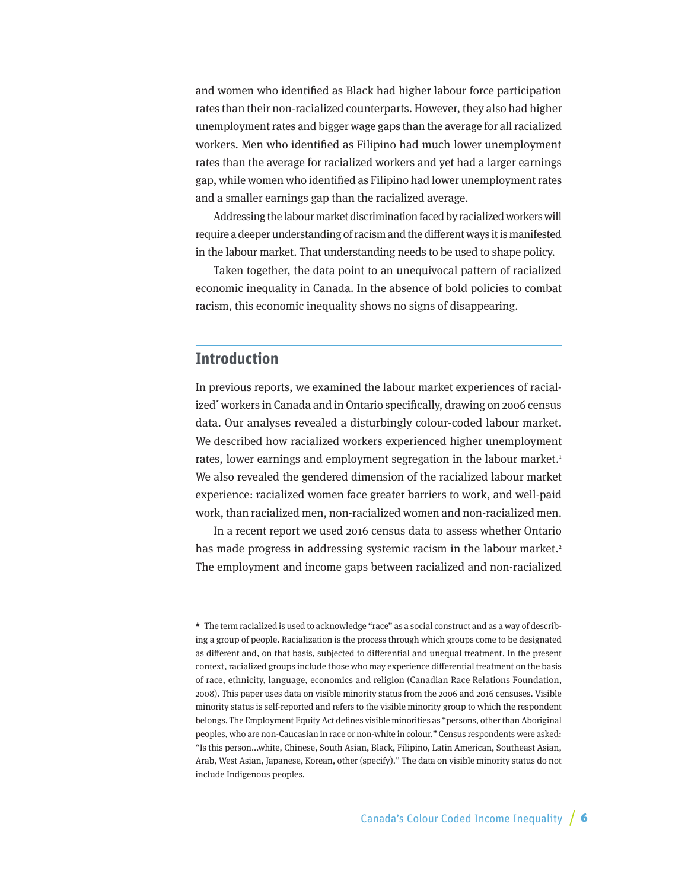<span id="page-5-0"></span>and women who identified as Black had higher labour force participation rates than their non-racialized counterparts. However, they also had higher unemployment rates and bigger wage gaps than the average for all racialized workers. Men who identified as Filipino had much lower unemployment rates than the average for racialized workers and yet had a larger earnings gap, while women who identified as Filipino had lower unemployment rates and a smaller earnings gap than the racialized average.

Addressing the labour market discrimination faced by racialized workers will require a deeper understanding of racism and the different ways it is manifested in the labour market. That understanding needs to be used to shape policy.

Taken together, the data point to an unequivocal pattern of racialized economic inequality in Canada. In the absence of bold policies to combat racism, this economic inequality shows no signs of disappearing.

## **Introduction**

In previous reports, we examined the labour market experiences of racialized\* workers in Canada and in Ontario specifically, drawing on 2006 census data. Our analyses revealed a disturbingly colour-coded labour market. We described how racialized workers experienced higher unemployment rates, lower earnings and employment segregation in the labour market.<sup>1</sup> We also revealed the gendered dimension of the racialized labour market experience: racialized women face greater barriers to work, and well-paid work, than racialized men, non-racialized women and non-racialized men.

In a recent report we used 2016 census data to assess whether Ontario has made progress in addressing systemic racism in the labour market.<sup>2</sup> The employment and income gaps between racialized and non-racialized

**<sup>\*</sup>** The term racialized is used to acknowledge "race" as a social construct and as a way of describing a group of people. Racialization is the process through which groups come to be designated as different and, on that basis, subjected to differential and unequal treatment. In the present context, racialized groups include those who may experience differential treatment on the basis of race, ethnicity, language, economics and religion (Canadian Race Relations Foundation, 2008). This paper uses data on visible minority status from the 2006 and 2016 censuses. Visible minority status is self-reported and refers to the visible minority group to which the respondent belongs. The Employment Equity Act defines visible minorities as "persons, other than Aboriginal peoples, who are non-Caucasian in race or non-white in colour." Census respondents were asked: "Is this person...white, Chinese, South Asian, Black, Filipino, Latin American, Southeast Asian, Arab, West Asian, Japanese, Korean, other (specify)." The data on visible minority status do not include Indigenous peoples.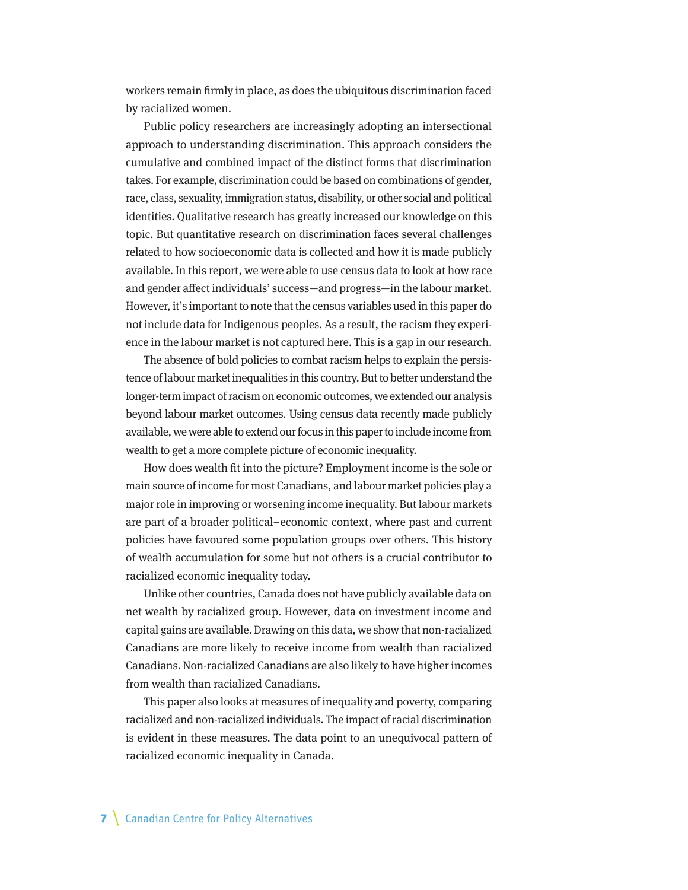workers remain firmly in place, as does the ubiquitous discrimination faced by racialized women.

Public policy researchers are increasingly adopting an intersectional approach to understanding discrimination. This approach considers the cumulative and combined impact of the distinct forms that discrimination takes. For example, discrimination could be based on combinations of gender, race, class, sexuality, immigration status, disability, or other social and political identities. Qualitative research has greatly increased our knowledge on this topic. But quantitative research on discrimination faces several challenges related to how socioeconomic data is collected and how it is made publicly available. In this report, we were able to use census data to look at how race and gender affect individuals' success—and progress—in the labour market. However, it's important to note that the census variables used in this paper do not include data for Indigenous peoples. As a result, the racism they experience in the labour market is not captured here. This is a gap in our research.

The absence of bold policies to combat racism helps to explain the persistence of labour market inequalities in this country. But to better understand the longer-term impact of racism on economic outcomes, we extended our analysis beyond labour market outcomes. Using census data recently made publicly available, we were able to extend our focus in this paper to include income from wealth to get a more complete picture of economic inequality.

How does wealth fit into the picture? Employment income is the sole or main source of income for most Canadians, and labour market policies play a major role in improving or worsening income inequality. But labour markets are part of a broader political–economic context, where past and current policies have favoured some population groups over others. This history of wealth accumulation for some but not others is a crucial contributor to racialized economic inequality today.

Unlike other countries, Canada does not have publicly available data on net wealth by racialized group. However, data on investment income and capital gains are available. Drawing on this data, we show that non-racialized Canadians are more likely to receive income from wealth than racialized Canadians. Non-racialized Canadians are also likely to have higher incomes from wealth than racialized Canadians.

This paper also looks at measures of inequality and poverty, comparing racialized and non-racialized individuals. The impact of racial discrimination is evident in these measures. The data point to an unequivocal pattern of racialized economic inequality in Canada.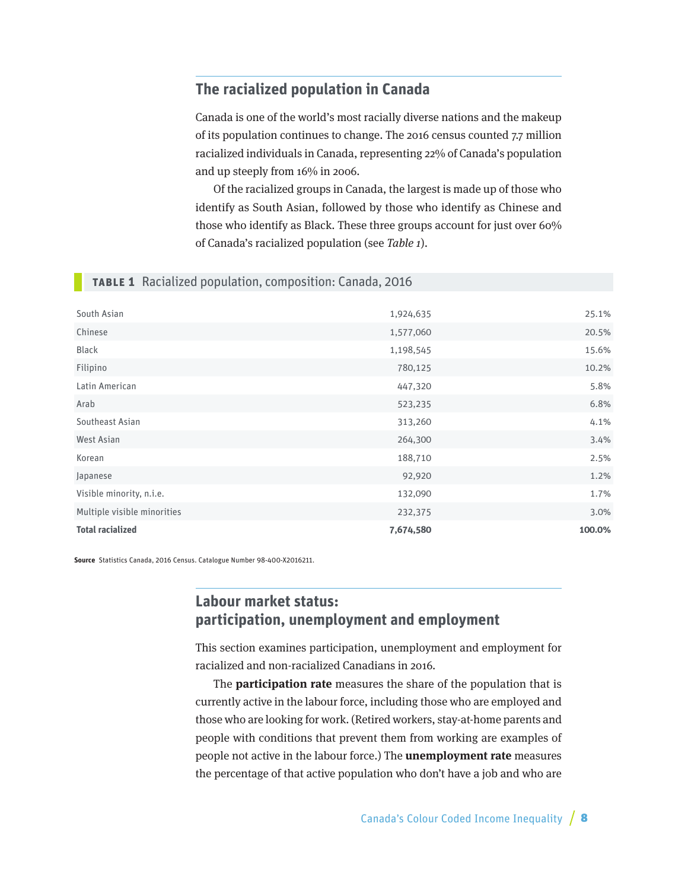## <span id="page-7-0"></span>**The racialized population in Canada**

Canada is one of the world's most racially diverse nations and the makeup of its population continues to change. The 2016 census counted 7.7 million racialized individuals in Canada, representing 22% of Canada's population and up steeply from 16% in 2006.

Of the racialized groups in Canada, the largest is made up of those who identify as South Asian, followed by those who identify as Chinese and those who identify as Black. These three groups account for just over 60% of Canada's racialized population (see Table 1).

## **Table 1** Racialized population, composition: Canada, 2016

| South Asian                 | 1,924,635 | 25.1%  |
|-----------------------------|-----------|--------|
|                             |           |        |
| Chinese                     | 1,577,060 | 20.5%  |
| Black                       | 1,198,545 | 15.6%  |
| Filipino                    | 780,125   | 10.2%  |
| Latin American              | 447,320   | 5.8%   |
| Arab                        | 523,235   | 6.8%   |
| Southeast Asian             | 313,260   | 4.1%   |
| West Asian                  | 264,300   | 3.4%   |
| Korean                      | 188,710   | 2.5%   |
| Japanese                    | 92,920    | 1.2%   |
| Visible minority, n.i.e.    | 132,090   | 1.7%   |
| Multiple visible minorities | 232,375   | 3.0%   |
| <b>Total racialized</b>     | 7,674,580 | 100.0% |

**Source** Statistics Canada, 2016 Census. Catalogue Number 98-400-X2016211.

## **Labour market status: participation, unemployment and employment**

This section examines participation, unemployment and employment for racialized and non-racialized Canadians in 2016.

The **participation rate** measures the share of the population that is currently active in the labour force, including those who are employed and those who are looking for work. (Retired workers, stay-at-home parents and people with conditions that prevent them from working are examples of people not active in the labour force.) The **unemployment rate** measures the percentage of that active population who don't have a job and who are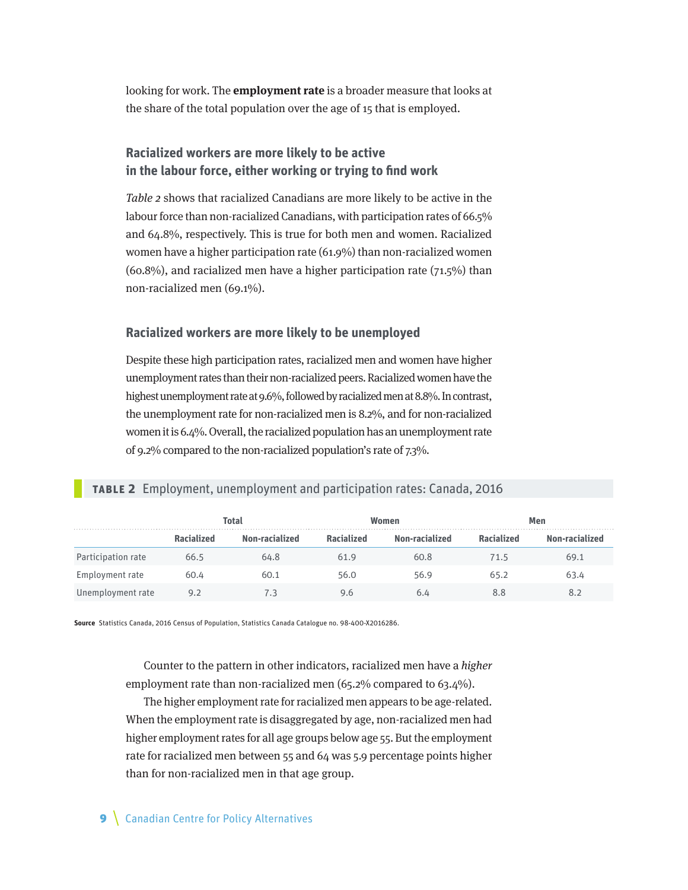looking for work. The **employment rate** is a broader measure that looks at the share of the total population over the age of 15 that is employed.

## **Racialized workers are more likely to be active in the labour force, either working or trying to find work**

Table 2 shows that racialized Canadians are more likely to be active in the labour force than non-racialized Canadians, with participation rates of 66.5% and 64.8%, respectively. This is true for both men and women. Racialized women have a higher participation rate (61.9%) than non-racialized women  $(60.8\%)$ , and racialized men have a higher participation rate  $(71.5\%)$  than non-racialized men (69.1%).

#### **Racialized workers are more likely to be unemployed**

Despite these high participation rates, racialized men and women have higher unemployment rates than their non-racialized peers. Racialized women have the highest unemployment rate at 9.6%, followed by racialized men at 8.8%. In contrast, the unemployment rate for non-racialized men is 8.2%, and for non-racialized women it is 6.4%. Overall, the racialized population has an unemployment rate of 9.2% compared to the non-racialized population's rate of 7.3%.

## **Table 2** Employment, unemployment and participation rates: Canada, 2016

|                    | <b>Total</b>      |                |                   | Women          | Men        |                |  |
|--------------------|-------------------|----------------|-------------------|----------------|------------|----------------|--|
|                    | <b>Racialized</b> | Non-racialized | <b>Racialized</b> | Non-racialized | Racialized | Non-racialized |  |
| Participation rate | 66.5              | 64.8           | 61.9              | 60.8           | 71.5       | 69.1           |  |
| Employment rate    | 60.4              | 60.1           | 56.0              | 56.9           | 65.2       | 63.4           |  |
| Unemployment rate  | 9.2               |                | 9.6               | 6.4            | 8.8        |                |  |

**Source** Statistics Canada, 2016 Census of Population, Statistics Canada Catalogue no. 98-400-X2016286.

Counter to the pattern in other indicators, racialized men have a higher employment rate than non-racialized men (65.2% compared to 63.4%).

The higher employment rate for racialized men appears to be age-related. When the employment rate is disaggregated by age, non-racialized men had higher employment rates for all age groups below age 55. But the employment rate for racialized men between 55 and 64 was 5.9 percentage points higher than for non-racialized men in that age group.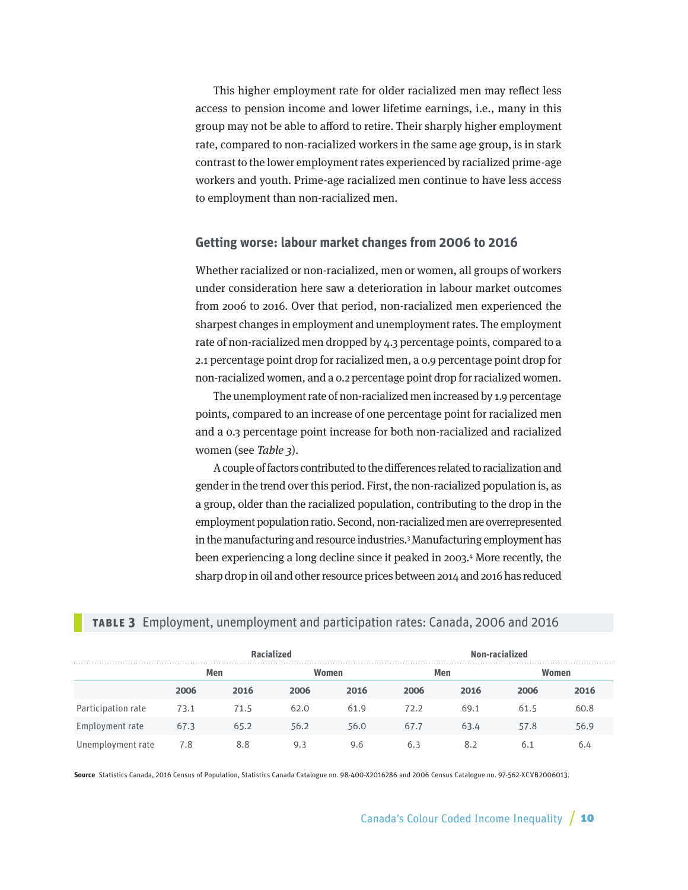This higher employment rate for older racialized men may reflect less access to pension income and lower lifetime earnings, i.e., many in this group may not be able to afford to retire. Their sharply higher employment rate, compared to non-racialized workers in the same age group, is in stark contrast to the lower employment rates experienced by racialized prime-age workers and youth. Prime-age racialized men continue to have less access to employment than non-racialized men.

#### **Getting worse: labour market changes from 2006 to 2016**

Whether racialized or non-racialized, men or women, all groups of workers under consideration here saw a deterioration in labour market outcomes from 2006 to 2016. Over that period, non-racialized men experienced the sharpest changes in employment and unemployment rates. The employment rate of non-racialized men dropped by 4.3 percentage points, compared to a 2.1 percentage point drop for racialized men, a 0.9 percentage point drop for non-racialized women, and a 0.2 percentage point drop for racialized women.

The unemployment rate of non-racialized men increased by 1.9 percentage points, compared to an increase of one percentage point for racialized men and a 0.3 percentage point increase for both non-racialized and racialized women (see Table 3).

A couple of factors contributed to the differences related to racialization and gender in the trend over this period. First, the non-racialized population is, as a group, older than the racialized population, contributing to the drop in the employment population ratio. Second, non-racialized men are overrepresented in the manufacturing and resource industries.3 Manufacturing employment has been experiencing a long decline since it peaked in 2003.4 More recently, the sharp drop in oil and other resource prices between 2014 and 2016 has reduced

#### **Table 3** Employment, unemployment and participation rates: Canada, 2006 and 2016

|                    |      |      | <b>Racialized</b> |       | Non-racialized |      |      |       |  |
|--------------------|------|------|-------------------|-------|----------------|------|------|-------|--|
|                    |      | Men  |                   | Women |                | Men  |      | Women |  |
|                    | 2006 | 2016 | 2006              | 2016  | 2006           | 2016 | 2006 | 2016  |  |
| Participation rate | 73.1 | 71.5 | 62.0              | 61.9  | 72.2           | 69.1 | 61.5 | 60.8  |  |
| Employment rate    | 67.3 | 65.2 | 56.2              | 56.0  | 67.7           | 63.4 | 57.8 | 56.9  |  |
| Unemployment rate  | 7.8  | 8.8  | 9.3               | 9.6   | 6.3            | 8.2  | 6.1  | 6.4   |  |

**Source** Statistics Canada, 2016 Census of Population, Statistics Canada Catalogue no. 98-400-X2016286 and 2006 Census Catalogue no. 97-562-XCVB2006013.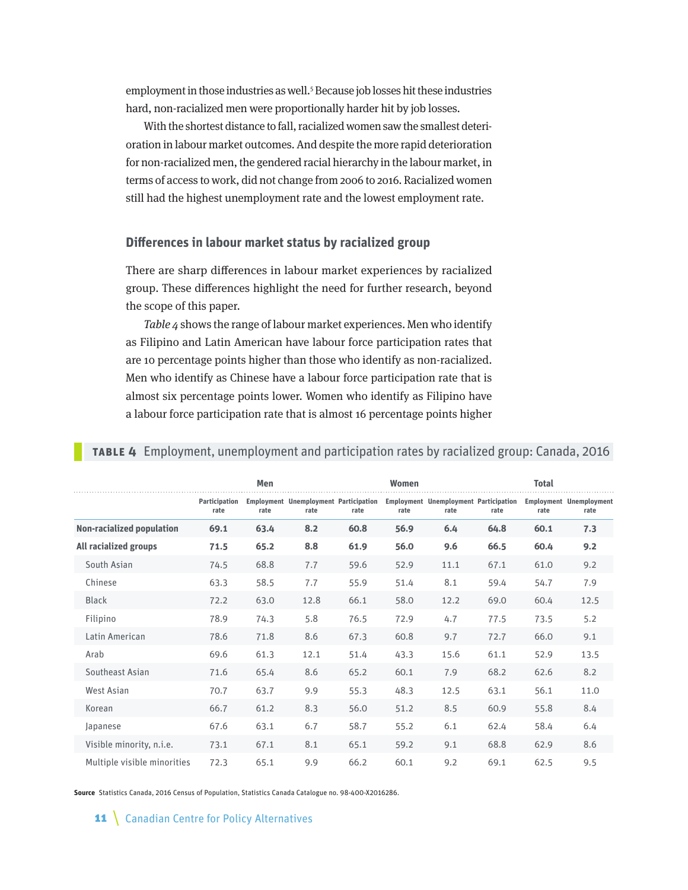employment in those industries as well.<sup>5</sup> Because job losses hit these industries hard, non-racialized men were proportionally harder hit by job losses.

With the shortest distance to fall, racialized women saw the smallest deterioration in labour market outcomes. And despite the more rapid deterioration for non-racialized men, the gendered racial hierarchy in the labour market, in terms of access to work, did not change from 2006 to 2016. Racialized women still had the highest unemployment rate and the lowest employment rate.

#### **Differences in labour market status by racialized group**

There are sharp differences in labour market experiences by racialized group. These differences highlight the need for further research, beyond the scope of this paper.

Table 4 shows the range of labour market experiences. Men who identify as Filipino and Latin American have labour force participation rates that are 10 percentage points higher than those who identify as non-racialized. Men who identify as Chinese have a labour force participation rate that is almost six percentage points lower. Women who identify as Filipino have a labour force participation rate that is almost 16 percentage points higher

|                                  |                       | Men  |                                                      |      | <b>Women</b> |                                                      |      | <b>Total</b> |                                        |
|----------------------------------|-----------------------|------|------------------------------------------------------|------|--------------|------------------------------------------------------|------|--------------|----------------------------------------|
|                                  | Participation<br>rate | rate | <b>Employment Unemployment Participation</b><br>rate | rate | rate         | <b>Employment Unemployment Participation</b><br>rate | rate | rate         | <b>Employment Unemployment</b><br>rate |
| <b>Non-racialized population</b> | 69.1                  | 63.4 | 8.2                                                  | 60.8 | 56.9         | 6.4                                                  | 64.8 | 60.1         | 7.3                                    |
| All racialized groups            | 71.5                  | 65.2 | 8.8                                                  | 61.9 | 56.0         | 9.6                                                  | 66.5 | 60.4         | 9.2                                    |
| South Asian                      | 74.5                  | 68.8 | 7.7                                                  | 59.6 | 52.9         | 11.1                                                 | 67.1 | 61.0         | 9.2                                    |
| Chinese                          | 63.3                  | 58.5 | 7.7                                                  | 55.9 | 51.4         | 8.1                                                  | 59.4 | 54.7         | 7.9                                    |
| <b>Black</b>                     | 72.2                  | 63.0 | 12.8                                                 | 66.1 | 58.0         | 12.2                                                 | 69.0 | 60.4         | 12.5                                   |
| Filipino                         | 78.9                  | 74.3 | 5.8                                                  | 76.5 | 72.9         | 4.7                                                  | 77.5 | 73.5         | 5.2                                    |
| Latin American                   | 78.6                  | 71.8 | 8.6                                                  | 67.3 | 60.8         | 9.7                                                  | 72.7 | 66.0         | 9.1                                    |
| Arab                             | 69.6                  | 61.3 | 12.1                                                 | 51.4 | 43.3         | 15.6                                                 | 61.1 | 52.9         | 13.5                                   |
| Southeast Asian                  | 71.6                  | 65.4 | 8.6                                                  | 65.2 | 60.1         | 7.9                                                  | 68.2 | 62.6         | 8.2                                    |
| West Asian                       | 70.7                  | 63.7 | 9.9                                                  | 55.3 | 48.3         | 12.5                                                 | 63.1 | 56.1         | 11.0                                   |
| Korean                           | 66.7                  | 61.2 | 8.3                                                  | 56.0 | 51.2         | 8.5                                                  | 60.9 | 55.8         | 8.4                                    |
| Japanese                         | 67.6                  | 63.1 | 6.7                                                  | 58.7 | 55.2         | 6.1                                                  | 62.4 | 58.4         | 6.4                                    |
| Visible minority, n.i.e.         | 73.1                  | 67.1 | 8.1                                                  | 65.1 | 59.2         | 9.1                                                  | 68.8 | 62.9         | 8.6                                    |
| Multiple visible minorities      | 72.3                  | 65.1 | 9.9                                                  | 66.2 | 60.1         | 9.2                                                  | 69.1 | 62.5         | 9.5                                    |

#### **Table 4** Employment, unemployment and participation rates by racialized group: Canada, 2016

**Source** Statistics Canada, 2016 Census of Population, Statistics Canada Catalogue no. 98-400-X2016286.

11 | Canadian Centre for Policy Alternatives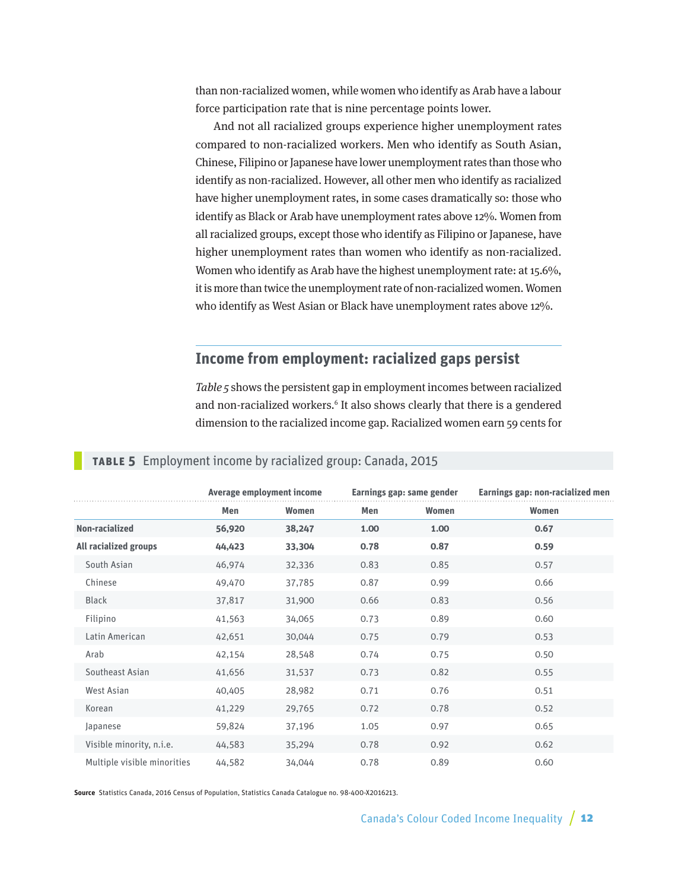<span id="page-11-0"></span>than non-racialized women, while women who identify as Arab have a labour force participation rate that is nine percentage points lower.

And not all racialized groups experience higher unemployment rates compared to non-racialized workers. Men who identify as South Asian, Chinese, Filipino or Japanese have lower unemployment rates than those who identify as non-racialized. However, all other men who identify as racialized have higher unemployment rates, in some cases dramatically so: those who identify as Black or Arab have unemployment rates above 12%. Women from all racialized groups, except those who identify as Filipino or Japanese, have higher unemployment rates than women who identify as non-racialized. Women who identify as Arab have the highest unemployment rate: at 15.6%, it is more than twice the unemployment rate of non-racialized women. Women who identify as West Asian or Black have unemployment rates above 12%.

## **Income from employment: racialized gaps persist**

Table 5 shows the persistent gap in employment incomes between racialized and non-racialized workers.<sup>6</sup> It also shows clearly that there is a gendered dimension to the racialized income gap. Racialized women earn 59 cents for

|                              |        | Average employment income |      | Earnings gap: same gender | Earnings gap: non-racialized men |
|------------------------------|--------|---------------------------|------|---------------------------|----------------------------------|
|                              | Men    | Women                     | Men  | Women                     | Women                            |
| Non-racialized               | 56,920 | 38,247                    | 1.00 | 1.00                      | 0.67                             |
| <b>All racialized groups</b> | 44,423 | 33,304                    | 0.78 | 0.87                      | 0.59                             |
| South Asian                  | 46,974 | 32,336                    | 0.83 | 0.85                      | 0.57                             |
| Chinese                      | 49,470 | 37,785                    | 0.87 | 0.99                      | 0.66                             |
| <b>Black</b>                 | 37,817 | 31,900                    | 0.66 | 0.83                      | 0.56                             |
| Filipino                     | 41,563 | 34,065                    | 0.73 | 0.89                      | 0.60                             |
| Latin American               | 42,651 | 30,044                    | 0.75 | 0.79                      | 0.53                             |
| Arab                         | 42,154 | 28,548                    | 0.74 | 0.75                      | 0.50                             |
| Southeast Asian              | 41,656 | 31,537                    | 0.73 | 0.82                      | 0.55                             |
| West Asian                   | 40,405 | 28,982                    | 0.71 | 0.76                      | 0.51                             |
| Korean                       | 41,229 | 29,765                    | 0.72 | 0.78                      | 0.52                             |
| Japanese                     | 59,824 | 37,196                    | 1.05 | 0.97                      | 0.65                             |
| Visible minority, n.i.e.     | 44,583 | 35,294                    | 0.78 | 0.92                      | 0.62                             |
| Multiple visible minorities  | 44,582 | 34,044                    | 0.78 | 0.89                      | 0.60                             |

#### **Table 5** Employment income by racialized group: Canada, 2015

**Source** Statistics Canada, 2016 Census of Population, Statistics Canada Catalogue no. 98-400-X2016213.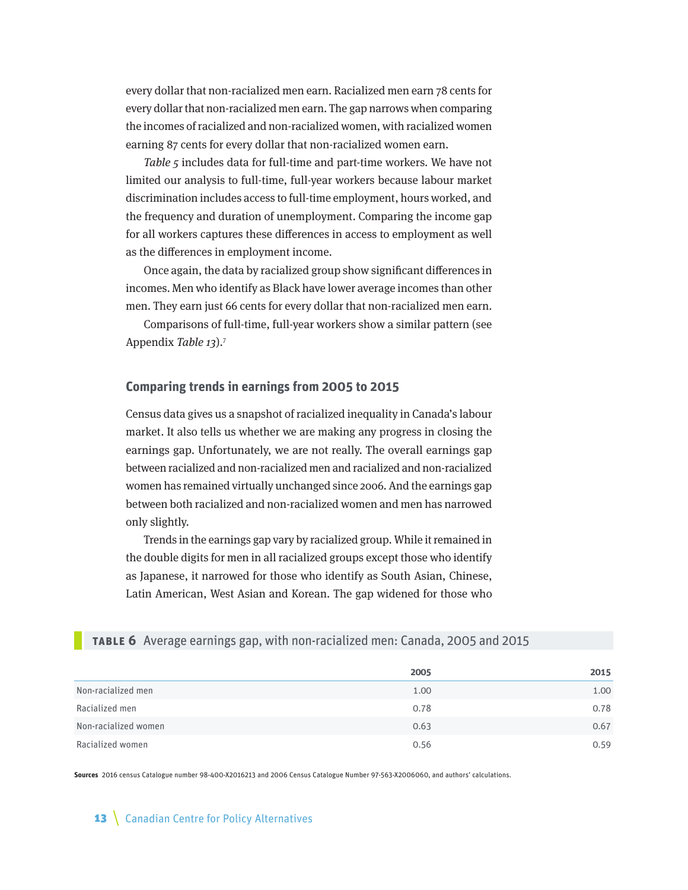every dollar that non-racialized men earn. Racialized men earn 78 cents for every dollar that non-racialized men earn. The gap narrows when comparing the incomes of racialized and non-racialized women, with racialized women earning 87 cents for every dollar that non-racialized women earn.

Table 5 includes data for full-time and part-time workers. We have not limited our analysis to full-time, full-year workers because labour market discrimination includes access to full-time employment, hours worked, and the frequency and duration of unemployment. Comparing the income gap for all workers captures these differences in access to employment as well as the differences in employment income.

Once again, the data by racialized group show significant differences in incomes. Men who identify as Black have lower average incomes than other men. They earn just 66 cents for every dollar that non-racialized men earn.

Comparisons of full-time, full-year workers show a similar pattern (see Appendix Table 13).7

#### **Comparing trends in earnings from 2005 to 2015**

Census data gives us a snapshot of racialized inequality in Canada's labour market. It also tells us whether we are making any progress in closing the earnings gap. Unfortunately, we are not really. The overall earnings gap between racialized and non-racialized men and racialized and non-racialized women has remained virtually unchanged since 2006. And the earnings gap between both racialized and non-racialized women and men has narrowed only slightly.

Trends in the earnings gap vary by racialized group. While it remained in the double digits for men in all racialized groups except those who identify as Japanese, it narrowed for those who identify as South Asian, Chinese, Latin American, West Asian and Korean. The gap widened for those who

#### **Table 6** Average earnings gap, with non-racialized men: Canada, 2005 and 2015

|                      | 2005 | 2015 |
|----------------------|------|------|
| Non-racialized men   | 1.00 | 1.00 |
| Racialized men       | 0.78 | 0.78 |
| Non-racialized women | 0.63 | 0.67 |
| Racialized women     | 0.56 | 0.59 |

**Sources** 2016 census Catalogue number 98-400-X2016213 and 2006 Census Catalogue Number 97-563-X2006060, and authors' calculations.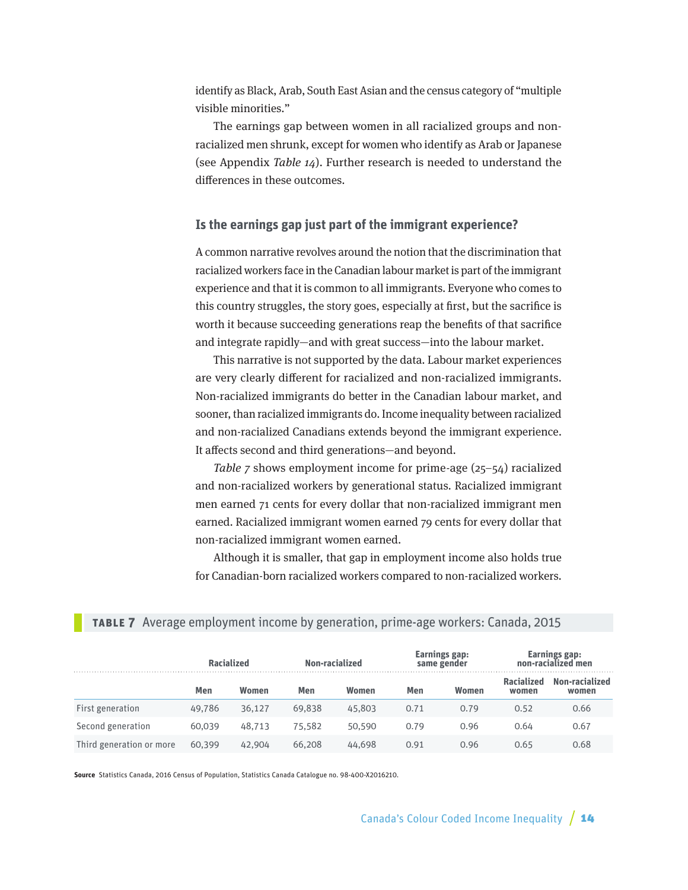identify as Black, Arab, South East Asian and the census category of "multiple visible minorities."

The earnings gap between women in all racialized groups and nonracialized men shrunk, except for women who identify as Arab or Japanese (see Appendix Table 14). Further research is needed to understand the differences in these outcomes.

#### **Is the earnings gap just part of the immigrant experience?**

A common narrative revolves around the notion that the discrimination that racialized workers face in the Canadian labour market is part of the immigrant experience and that it is common to all immigrants. Everyone who comes to this country struggles, the story goes, especially at first, but the sacrifice is worth it because succeeding generations reap the benefits of that sacrifice and integrate rapidly—and with great success—into the labour market.

This narrative is not supported by the data. Labour market experiences are very clearly different for racialized and non-racialized immigrants. Non-racialized immigrants do better in the Canadian labour market, and sooner, than racialized immigrants do. Income inequality between racialized and non-racialized Canadians extends beyond the immigrant experience. It affects second and third generations—and beyond.

Table 7 shows employment income for prime-age (25–54) racialized and non-racialized workers by generational status. Racialized immigrant men earned 71 cents for every dollar that non-racialized immigrant men earned. Racialized immigrant women earned 79 cents for every dollar that non-racialized immigrant women earned.

Although it is smaller, that gap in employment income also holds true for Canadian-born racialized workers compared to non-racialized workers.

#### **Table 7** Average employment income by generation, prime-age workers: Canada, 2015

|                          | <b>Racialized</b> |        | Non-racialized |        | Earnings gap:<br>same gender |       | <b>Earnings gap:</b><br>non-racialized men |                         |
|--------------------------|-------------------|--------|----------------|--------|------------------------------|-------|--------------------------------------------|-------------------------|
|                          | Men               | Women  | Men            | Women  | Men                          | Women | <b>Racialized</b><br>women                 | Non-racialized<br>women |
| First generation         | 49,786            | 36,127 | 69,838         | 45,803 | 0.71                         | 0.79  | 0.52                                       | 0.66                    |
| Second generation        | 60,039            | 48.713 | 75.582         | 50,590 | 0.79                         | 0.96  | 0.64                                       | 0.67                    |
| Third generation or more | 60,399            | 42,904 | 66,208         | 44,698 | 0.91                         | 0.96  | 0.65                                       | 0.68                    |

**Source** Statistics Canada, 2016 Census of Population, Statistics Canada Catalogue no. 98-400-X2016210.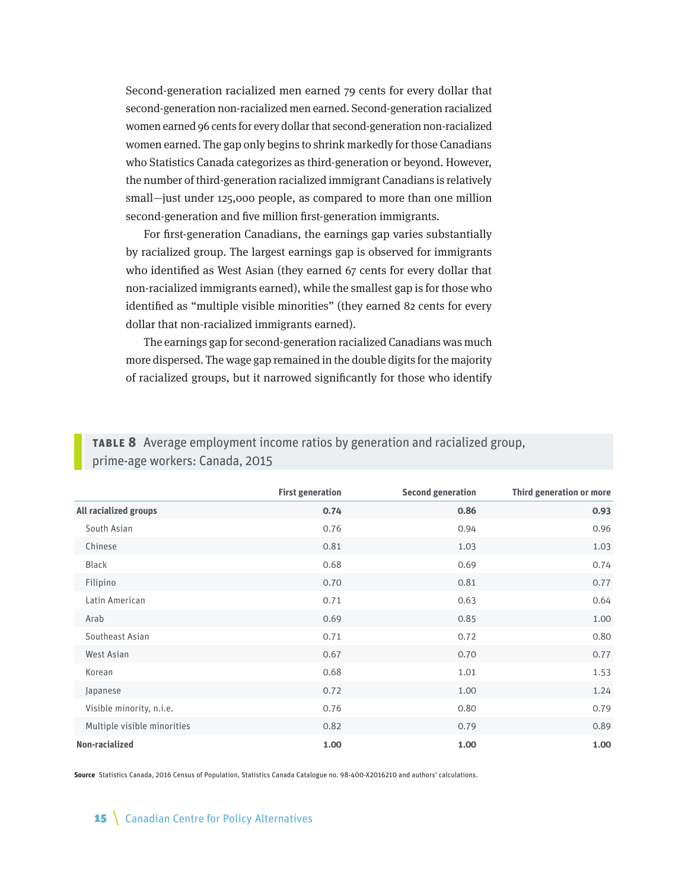Second-generation racialized men earned 79 cents for every dollar that second-generation non-racialized men earned. Second-generation racialized women earned 96 cents for every dollar that second-generation non-racialized women earned. The gap only begins to shrink markedly for those Canadians who Statistics Canada categorizes as third-generation or beyond. However, the number of third-generation racialized immigrant Canadians is relatively small—just under 125,000 people, as compared to more than one million second-generation and five million first-generation immigrants.

For first-generation Canadians, the earnings gap varies substantially by racialized group. The largest earnings gap is observed for immigrants who identified as West Asian (they earned 67 cents for every dollar that non-racialized immigrants earned), while the smallest gap is for those who identified as "multiple visible minorities" (they earned 82 cents for every dollar that non-racialized immigrants earned).

The earnings gap for second-generation racialized Canadians was much more dispersed. The wage gap remained in the double digits for the majority of racialized groups, but it narrowed significantly for those who identify

**Table 8** Average employment income ratios by generation and racialized group,

|                              | <b>First generation</b> | <b>Second generation</b> | Third generation or more |
|------------------------------|-------------------------|--------------------------|--------------------------|
| <b>All racialized groups</b> | 0.74                    | 0.86                     | 0.93                     |
| South Asian                  | 0.76                    | 0.94                     | 0.96                     |
| Chinese                      | 0.81                    | 1.03                     | 1.03                     |
| <b>Black</b>                 | 0.68                    | 0.69                     | 0.74                     |
| Filipino                     | 0.70                    | 0.81                     | 0.77                     |
| Latin American               | 0.71                    | 0.63                     | 0.64                     |
| Arab                         | 0.69                    | 0.85                     | 1.00                     |
| Southeast Asian              | 0.71                    | 0.72                     | 0.80                     |
| <b>West Asian</b>            | 0.67                    | 0.70                     | 0.77                     |
| Korean                       | 0.68                    | 1.01                     | 1.53                     |
| Japanese                     | 0.72                    | 1.00                     | 1.24                     |
| Visible minority, n.i.e.     | 0.76                    | 0.80                     | 0.79                     |
| Multiple visible minorities  | 0.82                    | 0.79                     | 0.89                     |
| Non-racialized               | 1.00                    | 1.00                     | 1.00                     |

prime-age workers: Canada, 2015

**Source** Statistics Canada, 2016 Census of Population, Statistics Canada Catalogue no. 98-400-X2016210 and authors' calculations.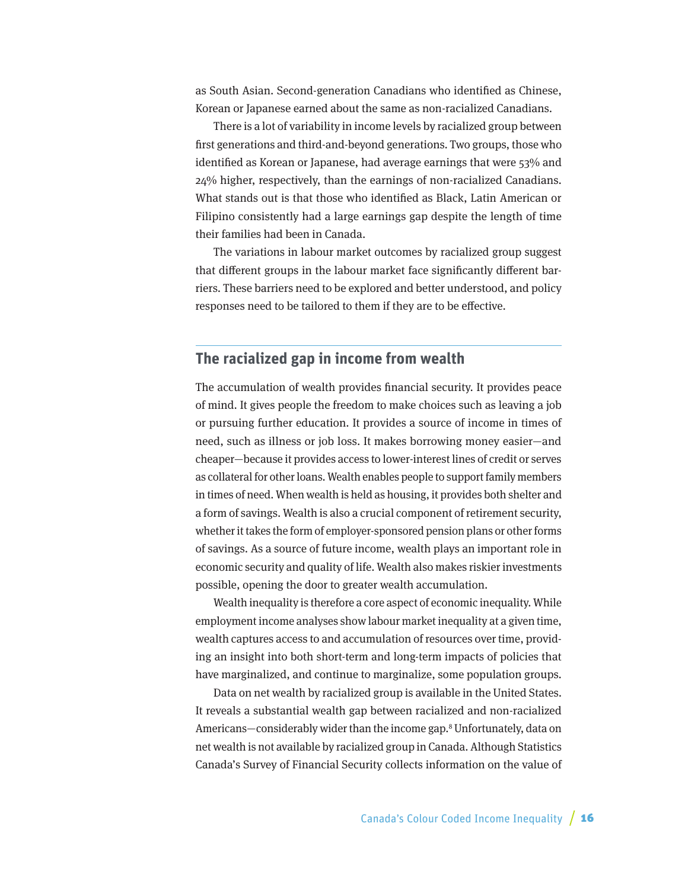<span id="page-15-0"></span>as South Asian. Second-generation Canadians who identified as Chinese, Korean or Japanese earned about the same as non-racialized Canadians.

There is a lot of variability in income levels by racialized group between first generations and third-and-beyond generations. Two groups, those who identified as Korean or Japanese, had average earnings that were 53% and 24% higher, respectively, than the earnings of non-racialized Canadians. What stands out is that those who identified as Black, Latin American or Filipino consistently had a large earnings gap despite the length of time their families had been in Canada.

The variations in labour market outcomes by racialized group suggest that different groups in the labour market face significantly different barriers. These barriers need to be explored and better understood, and policy responses need to be tailored to them if they are to be effective.

## **The racialized gap in income from wealth**

The accumulation of wealth provides financial security. It provides peace of mind. It gives people the freedom to make choices such as leaving a job or pursuing further education. It provides a source of income in times of need, such as illness or job loss. It makes borrowing money easier—and cheaper—because it provides access to lower-interest lines of credit or serves as collateral for other loans. Wealth enables people to support family members in times of need. When wealth is held as housing, it provides both shelter and a form of savings. Wealth is also a crucial component of retirement security, whether it takes the form of employer-sponsored pension plans or other forms of savings. As a source of future income, wealth plays an important role in economic security and quality of life. Wealth also makes riskier investments possible, opening the door to greater wealth accumulation.

Wealth inequality is therefore a core aspect of economic inequality. While employment income analyses show labour market inequality at a given time, wealth captures access to and accumulation of resources over time, providing an insight into both short-term and long-term impacts of policies that have marginalized, and continue to marginalize, some population groups.

Data on net wealth by racialized group is available in the United States. It reveals a substantial wealth gap between racialized and non-racialized Americans—considerably wider than the income gap.<sup>8</sup> Unfortunately, data on net wealth is not available by racialized group in Canada. Although Statistics Canada's Survey of Financial Security collects information on the value of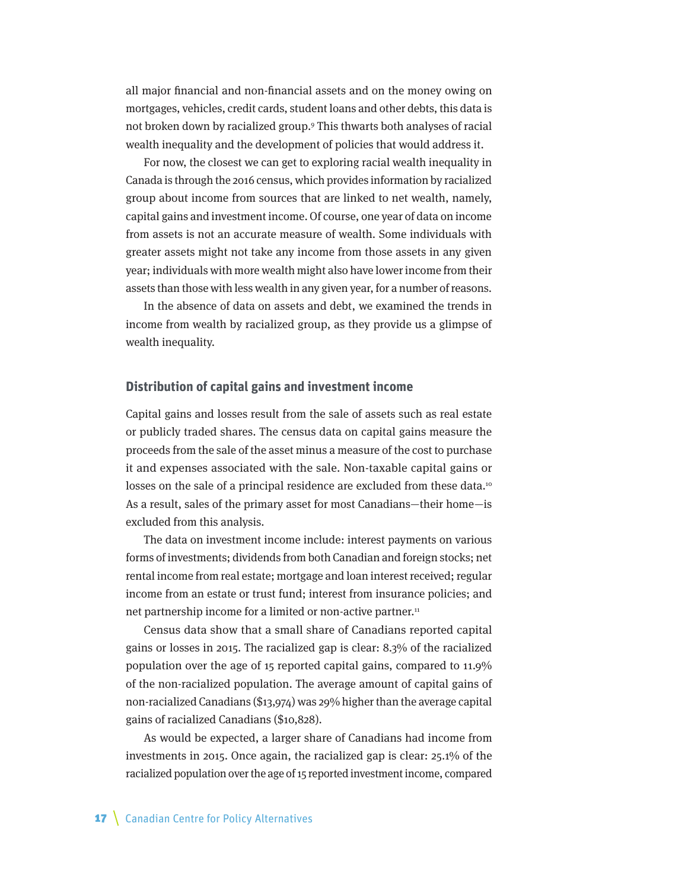all major financial and non-financial assets and on the money owing on mortgages, vehicles, credit cards, student loans and other debts, this data is not broken down by racialized group.9 This thwarts both analyses of racial wealth inequality and the development of policies that would address it.

For now, the closest we can get to exploring racial wealth inequality in Canada is through the 2016 census, which provides information by racialized group about income from sources that are linked to net wealth, namely, capital gains and investment income. Of course, one year of data on income from assets is not an accurate measure of wealth. Some individuals with greater assets might not take any income from those assets in any given year; individuals with more wealth might also have lower income from their assets than those with less wealth in any given year, for a number of reasons.

In the absence of data on assets and debt, we examined the trends in income from wealth by racialized group, as they provide us a glimpse of wealth inequality.

#### **Distribution of capital gains and investment income**

Capital gains and losses result from the sale of assets such as real estate or publicly traded shares. The census data on capital gains measure the proceeds from the sale of the asset minus a measure of the cost to purchase it and expenses associated with the sale. Non-taxable capital gains or losses on the sale of a principal residence are excluded from these data.<sup>10</sup> As a result, sales of the primary asset for most Canadians—their home—is excluded from this analysis.

The data on investment income include: interest payments on various forms of investments; dividends from both Canadian and foreign stocks; net rental income from real estate; mortgage and loan interest received; regular income from an estate or trust fund; interest from insurance policies; and net partnership income for a limited or non-active partner.<sup>11</sup>

Census data show that a small share of Canadians reported capital gains or losses in 2015. The racialized gap is clear: 8.3% of the racialized population over the age of 15 reported capital gains, compared to 11.9% of the non-racialized population. The average amount of capital gains of non-racialized Canadians (\$13,974) was 29% higher than the average capital gains of racialized Canadians (\$10,828).

As would be expected, a larger share of Canadians had income from investments in 2015. Once again, the racialized gap is clear: 25.1% of the racialized population over the age of 15 reported investment income, compared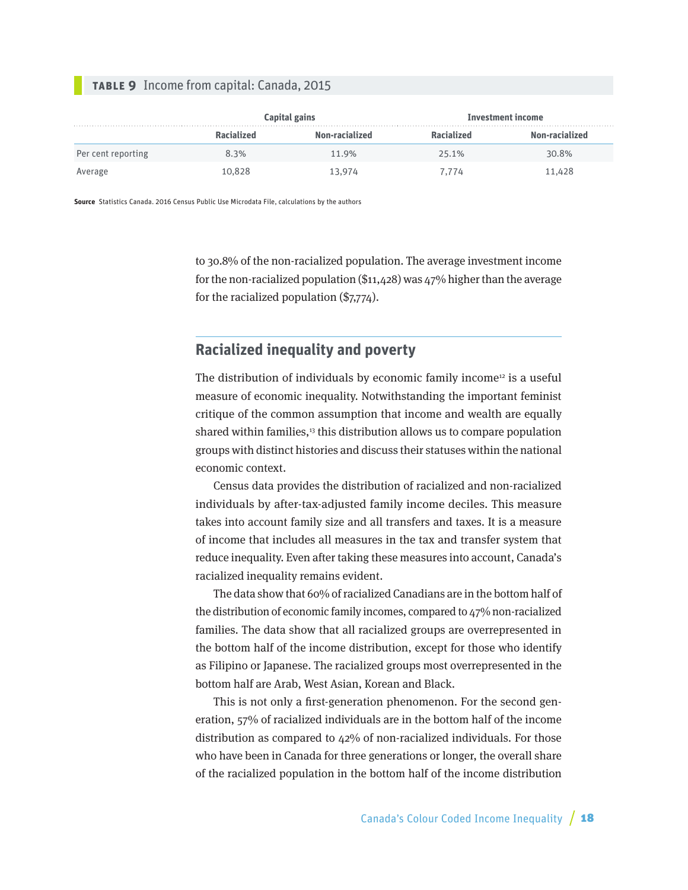#### <span id="page-17-0"></span>**Table 9** Income from capital: Canada, 2015

|                    |                   | Capital gains  | <b>Investment income</b> |                |  |
|--------------------|-------------------|----------------|--------------------------|----------------|--|
|                    | <b>Racialized</b> | Non-racialized | <b>Racialized</b>        | Non-racialized |  |
| Per cent reporting | 8.3%              | 11.9%          | 25.1%                    | 30.8%          |  |
| Average            | 10.828            | 13.974         | 7.774                    | 11,428         |  |

**Source** Statistics Canada. 2016 Census Public Use Microdata File, calculations by the authors

to 30.8% of the non-racialized population. The average investment income for the non-racialized population (\$11,428) was 47% higher than the average for the racialized population (\$7,774).

## **Racialized inequality and poverty**

The distribution of individuals by economic family income<sup>12</sup> is a useful measure of economic inequality. Notwithstanding the important feminist critique of the common assumption that income and wealth are equally shared within families, $13$  this distribution allows us to compare population groups with distinct histories and discuss their statuses within the national economic context.

Census data provides the distribution of racialized and non-racialized individuals by after-tax-adjusted family income deciles. This measure takes into account family size and all transfers and taxes. It is a measure of income that includes all measures in the tax and transfer system that reduce inequality. Even after taking these measures into account, Canada's racialized inequality remains evident.

The data show that 60% of racialized Canadians are in the bottom half of the distribution of economic family incomes, compared to 47% non-racialized families. The data show that all racialized groups are overrepresented in the bottom half of the income distribution, except for those who identify as Filipino or Japanese. The racialized groups most overrepresented in the bottom half are Arab, West Asian, Korean and Black.

This is not only a first-generation phenomenon. For the second generation, 57% of racialized individuals are in the bottom half of the income distribution as compared to 42% of non-racialized individuals. For those who have been in Canada for three generations or longer, the overall share of the racialized population in the bottom half of the income distribution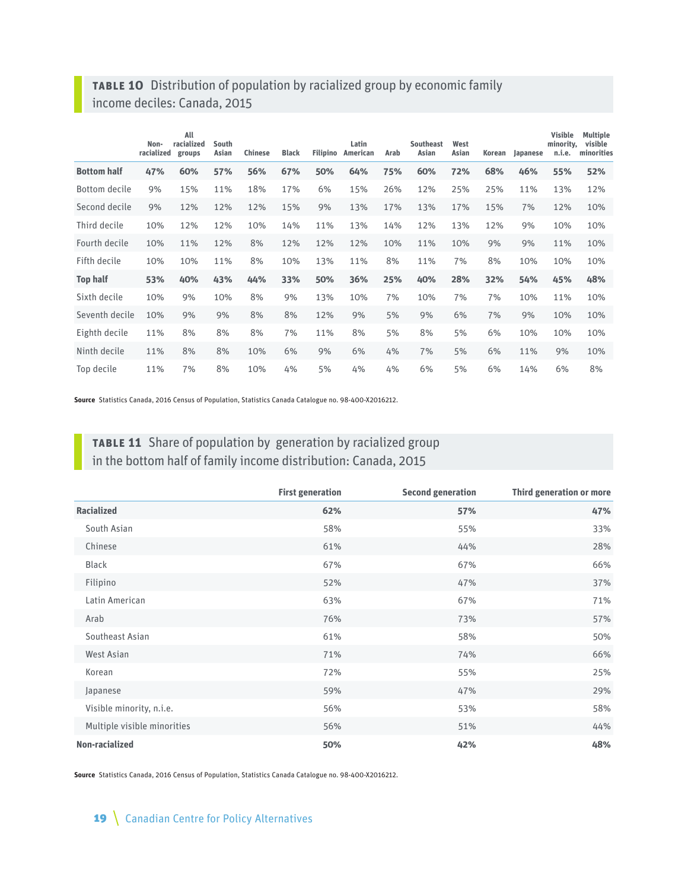## **Table 10** Distribution of population by racialized group by economic family income deciles: Canada, 2015

|                    | Non-<br>racialized | All<br>racialized<br>groups | South<br>Asian | <b>Chinese</b> | <b>Black</b> | <b>Filipino</b> | Latin<br>American | Arab | <b>Southeast</b><br>Asian | West<br>Asian | Korean | Japanese | <b>Visible</b><br>minority,<br>n.i.e. | <b>Multiple</b><br>visible<br>minorities |
|--------------------|--------------------|-----------------------------|----------------|----------------|--------------|-----------------|-------------------|------|---------------------------|---------------|--------|----------|---------------------------------------|------------------------------------------|
| <b>Bottom half</b> | 47%                | 60%                         | 57%            | 56%            | 67%          | 50%             | 64%               | 75%  | 60%                       | 72%           | 68%    | 46%      | 55%                                   | 52%                                      |
| Bottom decile      | 9%                 | 15%                         | 11%            | 18%            | 17%          | 6%              | 15%               | 26%  | 12%                       | 25%           | 25%    | 11%      | 13%                                   | 12%                                      |
| Second decile      | 9%                 | 12%                         | 12%            | 12%            | 15%          | 9%              | 13%               | 17%  | 13%                       | 17%           | 15%    | 7%       | 12%                                   | 10%                                      |
| Third decile       | 10%                | 12%                         | 12%            | 10%            | 14%          | 11%             | 13%               | 14%  | 12%                       | 13%           | 12%    | 9%       | 10%                                   | 10%                                      |
| Fourth decile      | 10%                | 11%                         | 12%            | 8%             | 12%          | 12%             | 12%               | 10%  | 11%                       | 10%           | 9%     | 9%       | 11%                                   | 10%                                      |
| Fifth decile       | 10%                | 10%                         | 11%            | 8%             | 10%          | 13%             | 11%               | 8%   | 11%                       | 7%            | 8%     | 10%      | 10%                                   | 10%                                      |
| <b>Top half</b>    | 53%                | 40%                         | 43%            | 44%            | 33%          | 50%             | 36%               | 25%  | 40%                       | 28%           | 32%    | 54%      | 45%                                   | 48%                                      |
| Sixth decile       | 10%                | 9%                          | 10%            | 8%             | 9%           | 13%             | 10%               | 7%   | 10%                       | 7%            | 7%     | 10%      | 11%                                   | 10%                                      |
| Seventh decile     | 10%                | 9%                          | 9%             | 8%             | 8%           | 12%             | 9%                | 5%   | 9%                        | 6%            | 7%     | 9%       | 10%                                   | 10%                                      |
| Eighth decile      | 11%                | 8%                          | 8%             | 8%             | 7%           | 11%             | 8%                | 5%   | 8%                        | 5%            | 6%     | 10%      | 10%                                   | 10%                                      |
| Ninth decile       | 11%                | 8%                          | 8%             | 10%            | 6%           | 9%              | 6%                | 4%   | 7%                        | 5%            | 6%     | 11%      | 9%                                    | 10%                                      |
| Top decile         | 11%                | 7%                          | 8%             | 10%            | 4%           | 5%              | 4%                | 4%   | 6%                        | 5%            | 6%     | 14%      | 6%                                    | 8%                                       |

**Source** Statistics Canada, 2016 Census of Population, Statistics Canada Catalogue no. 98-400-X2016212.

## **Table 11** Share of population by generation by racialized group in the bottom half of family income distribution: Canada, 2015

|                             | <b>First generation</b> | <b>Second generation</b> | <b>Third generation or more</b> |
|-----------------------------|-------------------------|--------------------------|---------------------------------|
| <b>Racialized</b>           | 62%                     | 57%                      | 47%                             |
| South Asian                 | 58%                     | 55%                      | 33%                             |
| Chinese                     | 61%                     | 44%                      | 28%                             |
| <b>Black</b>                | 67%                     | 67%                      | 66%                             |
| Filipino                    | 52%                     | 47%                      | 37%                             |
| Latin American              | 63%                     | 67%                      | 71%                             |
| Arab                        | 76%                     | 73%                      | 57%                             |
| Southeast Asian             | 61%                     | 58%                      | 50%                             |
| West Asian                  | 71%                     | 74%                      | 66%                             |
| Korean                      | 72%                     | 55%                      | 25%                             |
| Japanese                    | 59%                     | 47%                      | 29%                             |
| Visible minority, n.i.e.    | 56%                     | 53%                      | 58%                             |
| Multiple visible minorities | 56%                     | 51%                      | 44%                             |
| Non-racialized              | 50%                     | 42%                      | 48%                             |

**Source** Statistics Canada, 2016 Census of Population, Statistics Canada Catalogue no. 98-400-X2016212.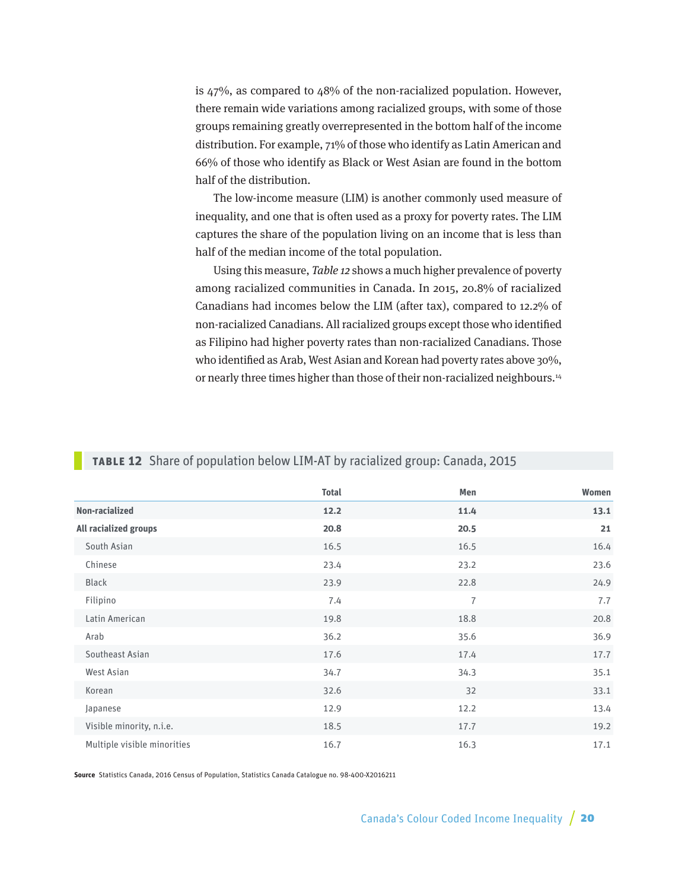is 47%, as compared to 48% of the non-racialized population. However, there remain wide variations among racialized groups, with some of those groups remaining greatly overrepresented in the bottom half of the income distribution. For example, 71% of those who identify as Latin American and 66% of those who identify as Black or West Asian are found in the bottom half of the distribution.

The low-income measure (LIM) is another commonly used measure of inequality, and one that is often used as a proxy for poverty rates. The LIM captures the share of the population living on an income that is less than half of the median income of the total population.

Using this measure, Table 12 shows a much higher prevalence of poverty among racialized communities in Canada. In 2015, 20.8% of racialized Canadians had incomes below the LIM (after tax), compared to 12.2% of non-racialized Canadians. All racialized groups except those who identified as Filipino had higher poverty rates than non-racialized Canadians. Those who identified as Arab, West Asian and Korean had poverty rates above 30%, or nearly three times higher than those of their non-racialized neighbours.<sup>14</sup>

|                             | <b>Total</b> | Men            | Women |
|-----------------------------|--------------|----------------|-------|
| Non-racialized              | 12.2         | 11.4           | 13.1  |
| All racialized groups       | 20.8         | 20.5           | 21    |
| South Asian                 | 16.5         | 16.5           | 16.4  |
| Chinese                     | 23.4         | 23.2           | 23.6  |
| <b>Black</b>                | 23.9         | 22.8           | 24.9  |
| Filipino                    | 7.4          | $\overline{7}$ | 7.7   |
| Latin American              | 19.8         | 18.8           | 20.8  |
| Arab                        | 36.2         | 35.6           | 36.9  |
| Southeast Asian             | 17.6         | 17.4           | 17.7  |
| West Asian                  | 34.7         | 34.3           | 35.1  |
| Korean                      | 32.6         | 32             | 33.1  |
| Japanese                    | 12.9         | 12.2           | 13.4  |
| Visible minority, n.i.e.    | 18.5         | 17.7           | 19.2  |
| Multiple visible minorities | 16.7         | 16.3           | 17.1  |

#### **Table 12** Share of population below LIM-AT by racialized group: Canada, 2015

**Source** Statistics Canada, 2016 Census of Population, Statistics Canada Catalogue no. 98-400-X2016211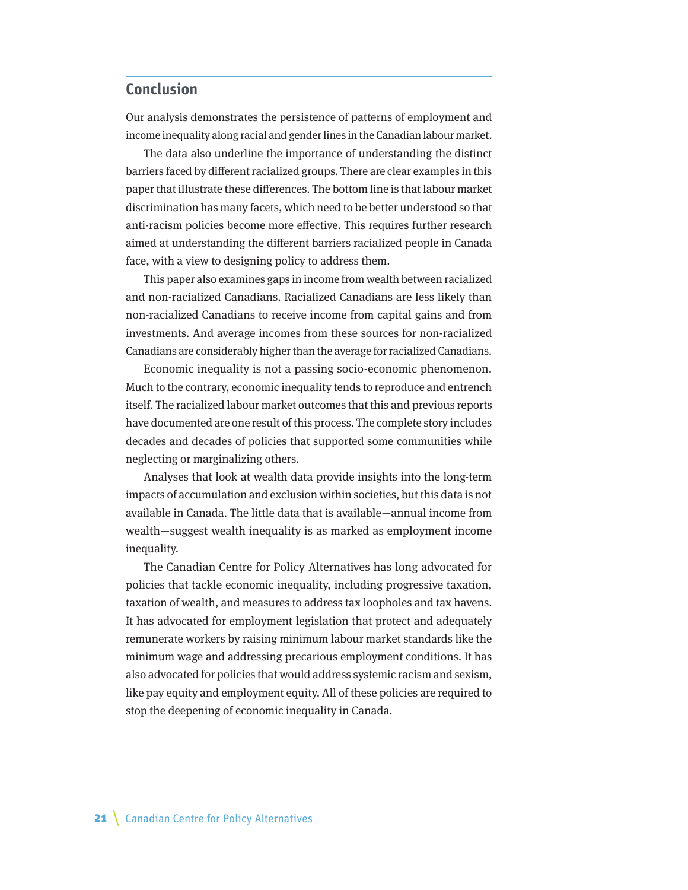## <span id="page-20-0"></span>**Conclusion**

Our analysis demonstrates the persistence of patterns of employment and income inequality along racial and gender lines in the Canadian labour market.

The data also underline the importance of understanding the distinct barriers faced by different racialized groups. There are clear examples in this paper that illustrate these differences. The bottom line is that labour market discrimination has many facets, which need to be better understood so that anti-racism policies become more effective. This requires further research aimed at understanding the different barriers racialized people in Canada face, with a view to designing policy to address them.

This paper also examines gaps in income from wealth between racialized and non-racialized Canadians. Racialized Canadians are less likely than non-racialized Canadians to receive income from capital gains and from investments. And average incomes from these sources for non-racialized Canadians are considerably higher than the average for racialized Canadians.

Economic inequality is not a passing socio-economic phenomenon. Much to the contrary, economic inequality tends to reproduce and entrench itself. The racialized labour market outcomes that this and previous reports have documented are one result of this process. The complete story includes decades and decades of policies that supported some communities while neglecting or marginalizing others.

Analyses that look at wealth data provide insights into the long-term impacts of accumulation and exclusion within societies, but this data is not available in Canada. The little data that is available—annual income from wealth—suggest wealth inequality is as marked as employment income inequality.

The Canadian Centre for Policy Alternatives has long advocated for policies that tackle economic inequality, including progressive taxation, taxation of wealth, and measures to address tax loopholes and tax havens. It has advocated for employment legislation that protect and adequately remunerate workers by raising minimum labour market standards like the minimum wage and addressing precarious employment conditions. It has also advocated for policies that would address systemic racism and sexism, like pay equity and employment equity. All of these policies are required to stop the deepening of economic inequality in Canada.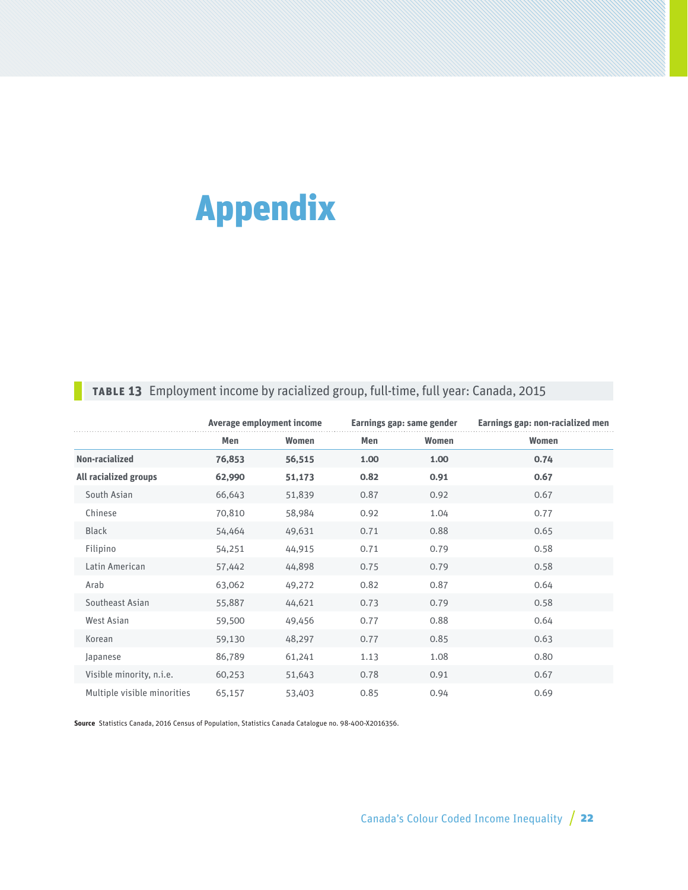# <span id="page-21-0"></span>Appendix

## **Table 13** Employment income by racialized group, full-time, full year: Canada, 2015

|                              |        | Average employment income |      | Earnings gap: same gender | Earnings gap: non-racialized men |  |  |
|------------------------------|--------|---------------------------|------|---------------------------|----------------------------------|--|--|
|                              | Men    | Women                     | Men  | Women                     | Women                            |  |  |
| Non-racialized               | 76,853 | 56,515                    | 1.00 | 1.00                      | 0.74                             |  |  |
| <b>All racialized groups</b> | 62,990 | 51,173                    | 0.82 | 0.91                      | 0.67                             |  |  |
| South Asian                  | 66,643 | 51,839                    | 0.87 | 0.92                      | 0.67                             |  |  |
| Chinese                      | 70,810 | 58,984                    | 0.92 | 1.04                      | 0.77                             |  |  |
| <b>Black</b>                 | 54,464 | 49,631                    | 0.71 | 0.88                      | 0.65                             |  |  |
| Filipino                     | 54,251 | 44,915                    | 0.71 | 0.79                      | 0.58                             |  |  |
| Latin American               | 57,442 | 44,898                    | 0.75 | 0.79                      | 0.58                             |  |  |
| Arab                         | 63,062 | 49,272                    | 0.82 | 0.87                      | 0.64                             |  |  |
| Southeast Asian              | 55,887 | 44,621                    | 0.73 | 0.79                      | 0.58                             |  |  |
| West Asian                   | 59,500 | 49,456                    | 0.77 | 0.88                      | 0.64                             |  |  |
| Korean                       | 59,130 | 48,297                    | 0.77 | 0.85                      | 0.63                             |  |  |
| Japanese                     | 86,789 | 61,241                    | 1.13 | 1.08                      | 0.80                             |  |  |
| Visible minority, n.i.e.     | 60,253 | 51,643                    | 0.78 | 0.91                      | 0.67                             |  |  |
| Multiple visible minorities  | 65,157 | 53,403                    | 0.85 | 0.94                      | 0.69                             |  |  |

**Source** Statistics Canada, 2016 Census of Population, Statistics Canada Catalogue no. 98-400-X2016356.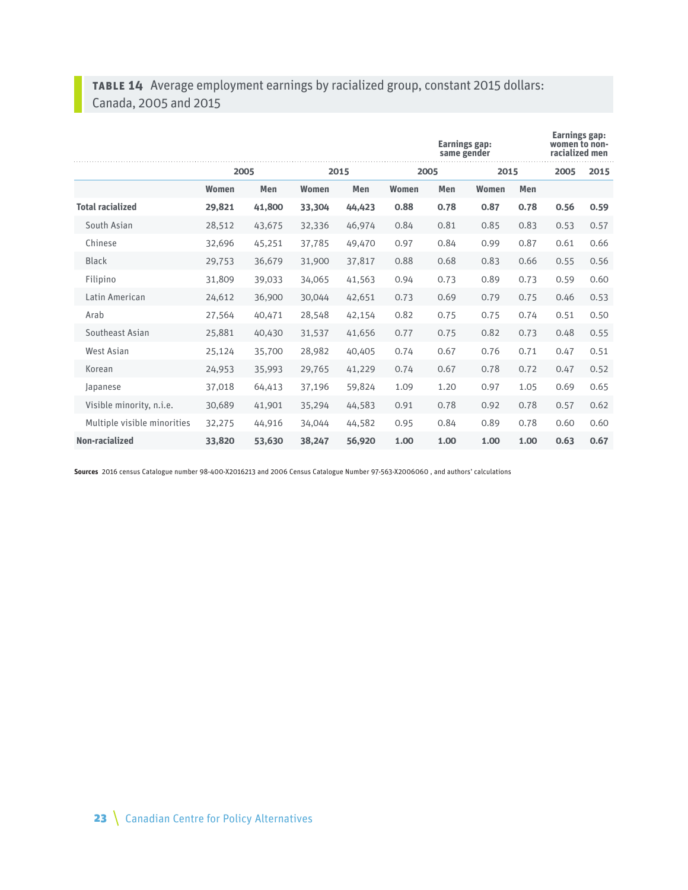## **Table 14** Average employment earnings by racialized group, constant 2015 dollars: Canada, 2005 and 2015

|                             |              | <b>Earnings gap:</b><br>same gender |              |        |              |      |       | <b>Earnings gap:</b><br>women to non-<br>racialized men |      |      |
|-----------------------------|--------------|-------------------------------------|--------------|--------|--------------|------|-------|---------------------------------------------------------|------|------|
|                             | 2005         |                                     | 2015         |        | 2005         |      | 2015  |                                                         | 2005 | 2015 |
|                             | <b>Women</b> | Men                                 | <b>Women</b> | Men    | <b>Women</b> | Men  | Women | Men                                                     |      |      |
| <b>Total racialized</b>     | 29,821       | 41,800                              | 33,304       | 44,423 | 0.88         | 0.78 | 0.87  | 0.78                                                    | 0.56 | 0.59 |
| South Asian                 | 28,512       | 43,675                              | 32,336       | 46,974 | 0.84         | 0.81 | 0.85  | 0.83                                                    | 0.53 | 0.57 |
| Chinese                     | 32,696       | 45,251                              | 37,785       | 49,470 | 0.97         | 0.84 | 0.99  | 0.87                                                    | 0.61 | 0.66 |
| <b>Black</b>                | 29,753       | 36,679                              | 31,900       | 37,817 | 0.88         | 0.68 | 0.83  | 0.66                                                    | 0.55 | 0.56 |
| Filipino                    | 31,809       | 39,033                              | 34,065       | 41,563 | 0.94         | 0.73 | 0.89  | 0.73                                                    | 0.59 | 0.60 |
| Latin American              | 24,612       | 36,900                              | 30,044       | 42,651 | 0.73         | 0.69 | 0.79  | 0.75                                                    | 0.46 | 0.53 |
| Arab                        | 27,564       | 40,471                              | 28,548       | 42,154 | 0.82         | 0.75 | 0.75  | 0.74                                                    | 0.51 | 0.50 |
| Southeast Asian             | 25,881       | 40,430                              | 31,537       | 41,656 | 0.77         | 0.75 | 0.82  | 0.73                                                    | 0.48 | 0.55 |
| West Asian                  | 25,124       | 35,700                              | 28,982       | 40,405 | 0.74         | 0.67 | 0.76  | 0.71                                                    | 0.47 | 0.51 |
| Korean                      | 24,953       | 35,993                              | 29,765       | 41,229 | 0.74         | 0.67 | 0.78  | 0.72                                                    | 0.47 | 0.52 |
| Japanese                    | 37,018       | 64,413                              | 37,196       | 59,824 | 1.09         | 1.20 | 0.97  | 1.05                                                    | 0.69 | 0.65 |
| Visible minority, n.i.e.    | 30,689       | 41,901                              | 35,294       | 44,583 | 0.91         | 0.78 | 0.92  | 0.78                                                    | 0.57 | 0.62 |
| Multiple visible minorities | 32,275       | 44,916                              | 34,044       | 44,582 | 0.95         | 0.84 | 0.89  | 0.78                                                    | 0.60 | 0.60 |
| Non-racialized              | 33,820       | 53,630                              | 38,247       | 56,920 | 1.00         | 1.00 | 1.00  | 1.00                                                    | 0.63 | 0.67 |

**Sources** 2016 census Catalogue number 98-400-X2016213 and 2006 Census Catalogue Number 97-563-X2006060 , and authors' calculations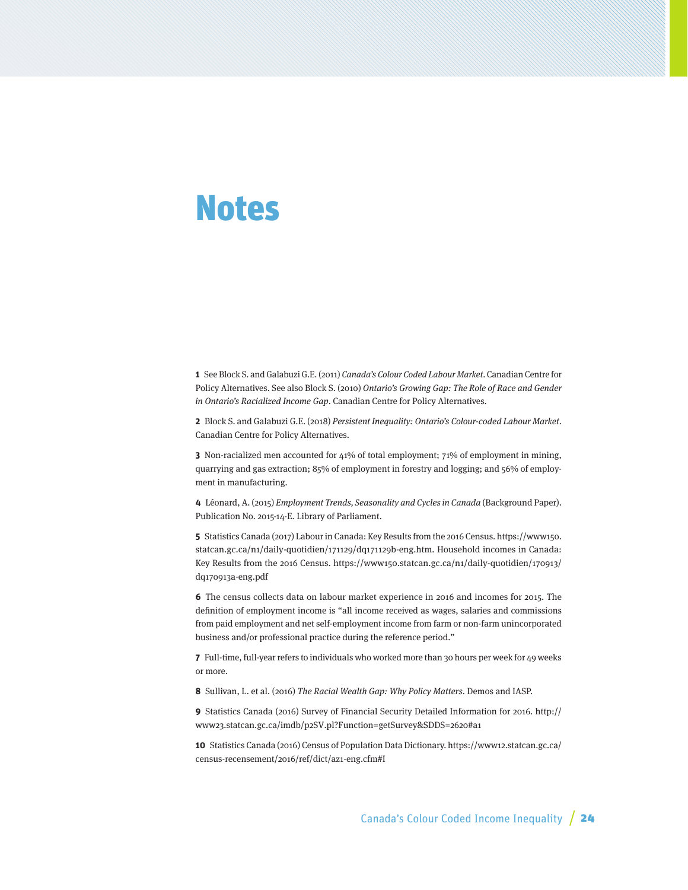## <span id="page-23-0"></span>Notes

**1** See Block S. and Galabuzi G.E. (2011) Canada's Colour Coded Labour Market. Canadian Centre for Policy Alternatives. See also Block S. (2010) Ontario's Growing Gap: The Role of Race and Gender in Ontario's Racialized Income Gap. Canadian Centre for Policy Alternatives.

**2** Block S. and Galabuzi G.E. (2018) Persistent Inequality: Ontario's Colour-coded Labour Market. Canadian Centre for Policy Alternatives.

**3** Non-racialized men accounted for 41% of total employment; 71% of employment in mining, quarrying and gas extraction; 85% of employment in forestry and logging; and 56% of employment in manufacturing.

**4** Léonard, A. (2015) Employment Trends, Seasonality and Cycles in Canada (Background Paper). Publication No. 2015-14-E. Library of Parliament.

**5** Statistics Canada (2017) Labour in Canada: Key Results from the 2016 Census. https://www150. statcan.gc.ca/n1/daily-quotidien/171129/dq171129b-eng.htm. Household incomes in Canada: Key Results from the 2016 Census. https://www150.statcan.gc.ca/n1/daily-quotidien/170913/ dq170913a-eng.pdf

**6** The census collects data on labour market experience in 2016 and incomes for 2015. The definition of employment income is "all income received as wages, salaries and commissions from paid employment and net self-employment income from farm or non-farm unincorporated business and/or professional practice during the reference period."

**7** Full-time, full-year refers to individuals who worked more than 30 hours per week for 49 weeks or more.

**8** Sullivan, L. et al. (2016) The Racial Wealth Gap: Why Policy Matters. Demos and IASP.

**9** Statistics Canada (2016) Survey of Financial Security Detailed Information for 2016. http:// www23.statcan.gc.ca/imdb/p2SV.pl?Function=getSurvey&SDDS=2620#a1

**10** Statistics Canada (2016) Census of Population Data Dictionary. https://www12.statcan.gc.ca/ census-recensement/2016/ref/dict/az1-eng.cfm#I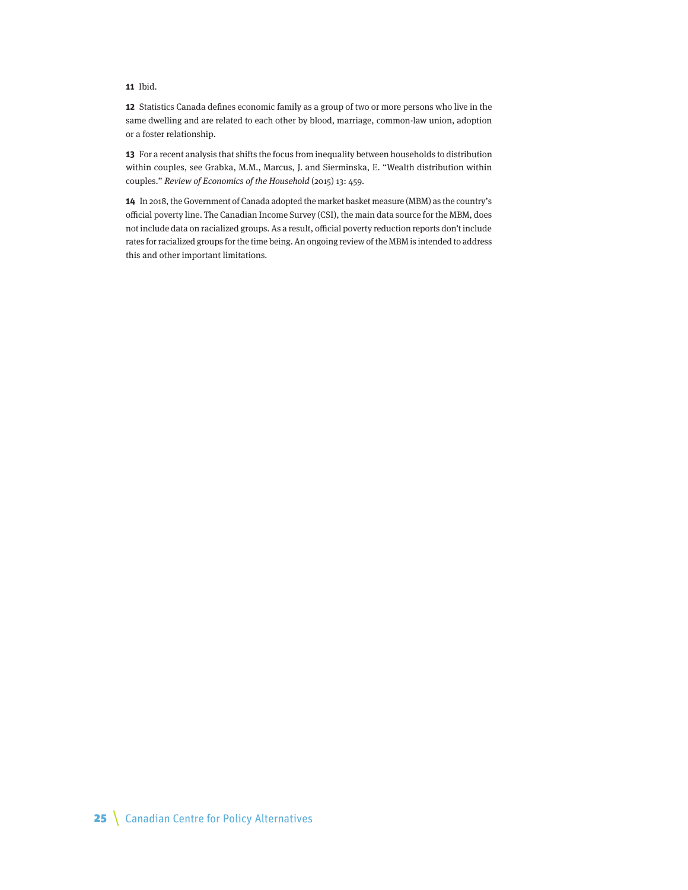#### **11** Ibid.

**12** Statistics Canada defines economic family as a group of two or more persons who live in the same dwelling and are related to each other by blood, marriage, common-law union, adoption or a foster relationship.

**13** For a recent analysis that shifts the focus from inequality between households to distribution within couples, see Grabka, M.M., Marcus, J. and Sierminska, E. "Wealth distribution within couples." Review of Economics of the Household (2015) 13: 459.

**14** In 2018, the Government of Canada adopted the market basket measure (MBM) as the country's official poverty line. The Canadian Income Survey (CSI), the main data source for the MBM, does not include data on racialized groups. As a result, official poverty reduction reports don't include rates for racialized groups for the time being. An ongoing review of the MBM is intended to address this and other important limitations.